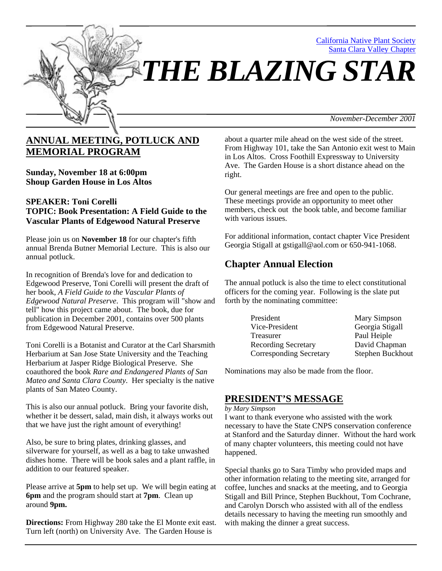

# **ANNUAL MEETING, POTLUCK AND MEMORIAL PROGRAM**

**Sunday, November 18 at 6:00pm Shoup Garden House in Los Altos** 

### **SPEAKER: Toni Corelli TOPIC: Book Presentation: A Field Guide to the Vascular Plants of Edgewood Natural Preserve**

Please join us on **November 18** for our chapter's fifth annual Brenda Butner Memorial Lecture. This is also our annual potluck.

In recognition of Brenda's love for and dedication to Edgewood Preserve, Toni Corelli will present the draft of her book, *A Field Guide to the Vascular Plants of Edgewood Natural Preserve*. This program will "show and tell" how this project came about. The book, due for publication in December 2001, contains over 500 plants from Edgewood Natural Preserve.

Toni Corelli is a Botanist and Curator at the Carl Sharsmith Herbarium at San Jose State University and the Teaching Herbarium at Jasper Ridge Biological Preserve. She coauthored the book *Rare and Endangered Plants of San Mateo and Santa Clara County*. Her specialty is the native plants of San Mateo County.

This is also our annual potluck. Bring your favorite dish, whether it be dessert, salad, main dish, it always works out that we have just the right amount of everything!

Also, be sure to bring plates, drinking glasses, and silverware for yourself, as well as a bag to take unwashed dishes home. There will be book sales and a plant raffle, in addition to our featured speaker.

Please arrive at **5pm** to help set up. We will begin eating at **6pm** and the program should start at **7pm**. Clean up around **9pm.**

**Directions:** From Highway 280 take the El Monte exit east. Turn left (north) on University Ave. The Garden House is

about a quarter mile ahead on the west side of the street. From Highway 101, take the San Antonio exit west to Main in Los Altos. Cross Foothill Expressway to University Ave. The Garden House is a short distance ahead on the right.

Our general meetings are free and open to the public. These meetings provide an opportunity to meet other members, check out the book table, and become familiar with various issues.

For additional information, contact chapter Vice President Georgia Stigall at gstigall@aol.com or 650-941-1068.

## **Chapter Annual Election**

The annual potluck is also the time to elect constitutional officers for the coming year. Following is the slate put forth by the nominating committee:

| President                      | Mary Simpson     |
|--------------------------------|------------------|
| Vice-President                 | Georgia Stigall  |
| Treasurer                      | Paul Heiple      |
| <b>Recording Secretary</b>     | David Chapman    |
| <b>Corresponding Secretary</b> | Stephen Buckhout |

Nominations may also be made from the floor.

### **PRESIDENT'S MESSAGE**

#### *by Mary Simpson*

I want to thank everyone who assisted with the work necessary to have the State CNPS conservation conference at Stanford and the Saturday dinner. Without the hard work of many chapter volunteers, this meeting could not have happened.

Special thanks go to Sara Timby who provided maps and other information relating to the meeting site, arranged for coffee, lunches and snacks at the meeting, and to Georgia Stigall and Bill Prince, Stephen Buckhout, Tom Cochrane, and Carolyn Dorsch who assisted with all of the endless details necessary to having the meeting run smoothly and with making the dinner a great success.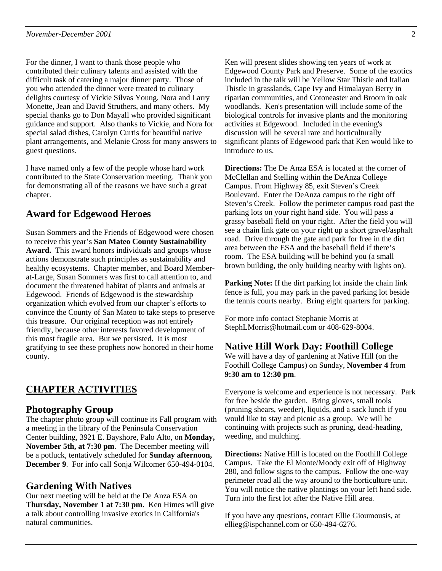For the dinner, I want to thank those people who contributed their culinary talents and assisted with the difficult task of catering a major dinner party. Those of you who attended the dinner were treated to culinary delights courtesy of Vickie Silvas Young, Nora and Larry Monette, Jean and David Struthers, and many others. My special thanks go to Don Mayall who provided significant guidance and support. Also thanks to Vickie, and Nora for special salad dishes, Carolyn Curtis for beautiful native plant arrangements, and Melanie Cross for many answers to guest questions.

I have named only a few of the people whose hard work contributed to the State Conservation meeting. Thank you for demonstrating all of the reasons we have such a great chapter.

### **Award for Edgewood Heroes**

Susan Sommers and the Friends of Edgewood were chosen to receive this year's **San Mateo County Sustainability Award.** This award honors individuals and groups whose actions demonstrate such principles as sustainability and healthy ecosystems. Chapter member, and Board Memberat-Large, Susan Sommers was first to call attention to, and document the threatened habitat of plants and animals at Edgewood. Friends of Edgewood is the stewardship organization which evolved from our chapter's efforts to convince the County of San Mateo to take steps to preserve this treasure. Our original reception was not entirely friendly, because other interests favored development of this most fragile area. But we persisted. It is most gratifying to see these prophets now honored in their home county.

### **CHAPTER ACTIVITIES**

### **Photography Group**

The chapter photo group will continue its Fall program with a meeting in the library of the Peninsula Conservation Center building, 3921 E. Bayshore, Palo Alto, on **Monday, November 5th, at 7:30 pm**. The December meeting will be a potluck, tentatively scheduled for **Sunday afternoon, December 9**. For info call Sonja Wilcomer 650-494-0104.

### **Gardening With Natives**

Our next meeting will be held at the De Anza ESA on **Thursday, November 1 at 7:30 pm**. Ken Himes will give a talk about controlling invasive exotics in California's natural communities.

Ken will present slides showing ten years of work at Edgewood County Park and Preserve. Some of the exotics included in the talk will be Yellow Star Thistle and Italian Thistle in grasslands, Cape Ivy and Himalayan Berry in riparian communities, and Cotoneaster and Broom in oak woodlands. Ken's presentation will include some of the biological controls for invasive plants and the monitoring activities at Edgewood. Included in the evening's discussion will be several rare and horticulturally significant plants of Edgewood park that Ken would like to introduce to us.

**Directions:** The De Anza ESA is located at the corner of McClellan and Stelling within the DeAnza College Campus. From Highway 85, exit Steven's Creek Boulevard. Enter the DeAnza campus to the right off Steven's Creek. Follow the perimeter campus road past the parking lots on your right hand side. You will pass a grassy baseball field on your right. After the field you will see a chain link gate on your right up a short gravel/asphalt road. Drive through the gate and park for free in the dirt area between the ESA and the baseball field if there's room. The ESA building will be behind you (a small brown building, the only building nearby with lights on).

**Parking Note:** If the dirt parking lot inside the chain link fence is full, you may park in the paved parking lot beside the tennis courts nearby. Bring eight quarters for parking.

For more info contact Stephanie Morris at StephLMorris@hotmail.com or 408-629-8004.

### **Native Hill Work Day: Foothill College**

We will have a day of gardening at Native Hill (on the Foothill College Campus) on Sunday, **November 4** from **9:30 am to 12:30 pm**.

Everyone is welcome and experience is not necessary. Park for free beside the garden. Bring gloves, small tools (pruning shears, weeder), liquids, and a sack lunch if you would like to stay and picnic as a group. We will be continuing with projects such as pruning, dead-heading, weeding, and mulching.

**Directions:** Native Hill is located on the Foothill College Campus. Take the El Monte/Moody exit off of Highway 280, and follow signs to the campus. Follow the one-way perimeter road all the way around to the horticulture unit. You will notice the native plantings on your left hand side. Turn into the first lot after the Native Hill area.

If you have any questions, contact Ellie Gioumousis, at ellieg@ispchannel.com or 650-494-6276.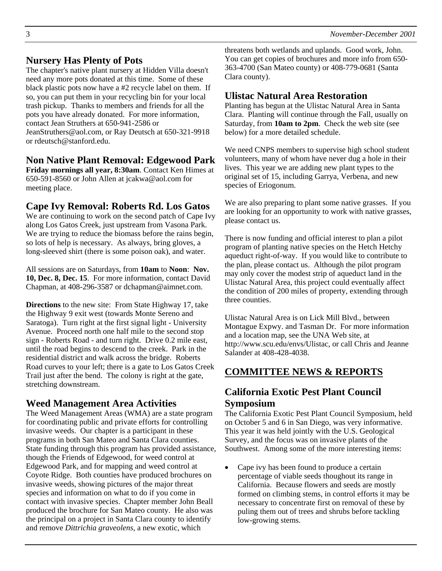# **Nursery Has Plenty of Pots**

The chapter's native plant nursery at Hidden Villa doesn't need any more pots donated at this time. Some of these black plastic pots now have a #2 recycle label on them. If so, you can put them in your recycling bin for your local trash pickup. Thanks to members and friends for all the pots you have already donated. For more information, contact Jean Struthers at 650-941-2586 or JeanStruthers@aol.com, or Ray Deutsch at 650-321-9918 or rdeutsch@stanford.edu.

## **Non Native Plant Removal: Edgewood Park**

**Friday mornings all year, 8:30am**. Contact Ken Himes at 650-591-8560 or John Allen at jcakwa@aol.com for meeting place.

# **Cape Ivy Removal: Roberts Rd. Los Gatos**

We are continuing to work on the second patch of Cape Ivy along Los Gatos Creek, just upstream from Vasona Park. We are trying to reduce the biomass before the rains begin, so lots of help is necessary. As always, bring gloves, a long-sleeved shirt (there is some poison oak), and water.

All sessions are on Saturdays, from **10am** to **Noon**: **Nov. 10, Dec. 8, Dec. 15**. For more information, contact David Chapman, at 408-296-3587 or dchapman@aimnet.com.

**Directions** to the new site: From State Highway 17, take the Highway 9 exit west (towards Monte Sereno and Saratoga). Turn right at the first signal light - University Avenue. Proceed north one half mile to the second stop sign - Roberts Road - and turn right. Drive 0.2 mile east, until the road begins to descend to the creek. Park in the residential district and walk across the bridge. Roberts Road curves to your left; there is a gate to Los Gatos Creek Trail just after the bend. The colony is right at the gate, stretching downstream.

## **Weed Management Area Activities**

The Weed Management Areas (WMA) are a state program for coordinating public and private efforts for controlling invasive weeds. Our chapter is a participant in these programs in both San Mateo and Santa Clara counties. State funding through this program has provided assistance, though the Friends of Edgewood, for weed control at Edgewood Park, and for mapping and weed control at Coyote Ridge. Both counties have produced brochures on invasive weeds, showing pictures of the major threat species and information on what to do if you come in contact with invasive species. Chapter member John Beall produced the brochure for San Mateo county. He also was the principal on a project in Santa Clara county to identify and remove *Dittrichia graveolens,* a new exotic, which

threatens both wetlands and uplands. Good work, John. You can get copies of brochures and more info from 650- 363-4700 (San Mateo county) or 408-779-0681 (Santa Clara county).

## **Ulistac Natural Area Restoration**

Planting has begun at the Ulistac Natural Area in Santa Clara. Planting will continue through the Fall, usually on Saturday, from **10am to 2pm**. Check the web site (see below) for a more detailed schedule.

We need CNPS members to supervise high school student volunteers, many of whom have never dug a hole in their lives. This year we are adding new plant types to the original set of 15, including Garrya, Verbena, and new species of Eriogonum.

We are also preparing to plant some native grasses. If you are looking for an opportunity to work with native grasses, please contact us.

There is now funding and official interest to plan a pilot program of planting native species on the Hetch Hetchy aqueduct right-of-way. If you would like to contribute to the plan, please contact us. Although the pilot program may only cover the modest strip of aqueduct land in the Ulistac Natural Area, this project could eventually affect the condition of 200 miles of property, extending through three counties.

Ulistac Natural Area is on Lick Mill Blvd., between Montague Expwy. and Tasman Dr. For more information and a location map, see the UNA Web site, at http://www.scu.edu/envs/Ulistac, or call Chris and Jeanne Salander at 408-428-4038.

# **COMMITTEE NEWS & REPORTS**

## **California Exotic Pest Plant Council Symposium**

The California Exotic Pest Plant Council Symposium, held on October 5 and 6 in San Diego, was very informative. This year it was held jointly with the U.S. Geological Survey, and the focus was on invasive plants of the Southwest. Among some of the more interesting items:

• Cape ivy has been found to produce a certain percentage of viable seeds thoughout its range in California. Because flowers and seeds are mostly formed on climbing stems, in control efforts it may be necessary to concentrate first on removal of these by puling them out of trees and shrubs before tackling low-growing stems.